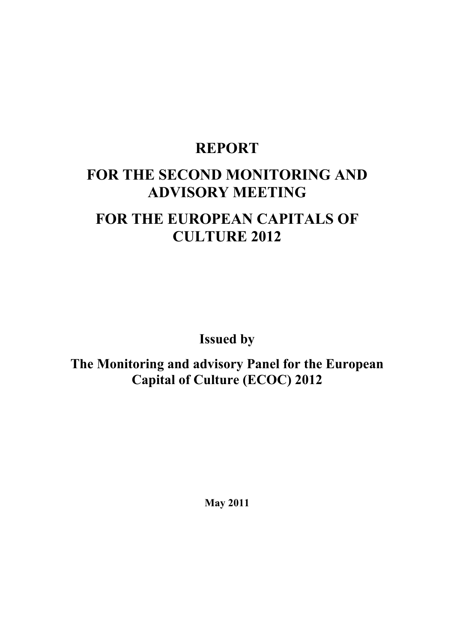# **REPORT**

# **FOR THE SECOND MONITORING AND ADVISORY MEETING**

# **FOR THE EUROPEAN CAPITALS OF CULTURE 2012**

**Issued by** 

**The Monitoring and advisory Panel for the European Capital of Culture (ECOC) 2012** 

**May 2011**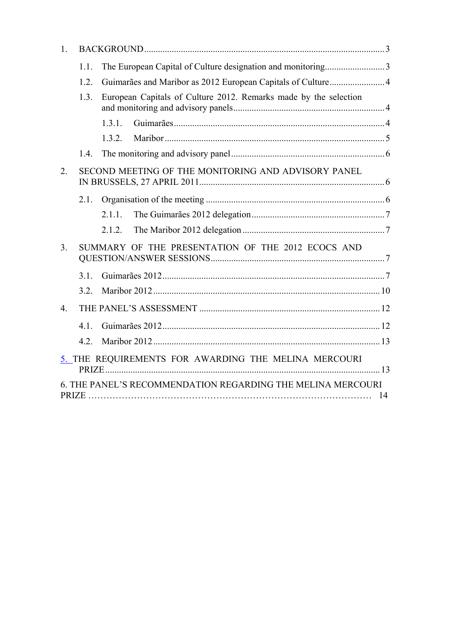| $\mathbf{1}$ . |      |                                                                  |  |
|----------------|------|------------------------------------------------------------------|--|
|                | 1.1. | The European Capital of Culture designation and monitoring3      |  |
|                | 1.2. | Guimarães and Maribor as 2012 European Capitals of Culture 4     |  |
|                | 1.3. | European Capitals of Culture 2012. Remarks made by the selection |  |
|                |      | 1.3.1.                                                           |  |
|                |      | 132                                                              |  |
|                | 14   |                                                                  |  |
| 2.             |      | SECOND MEETING OF THE MONITORING AND ADVISORY PANEL              |  |
|                | 2.1. |                                                                  |  |
|                |      | 2.1.1                                                            |  |
|                |      | 2.1.2.                                                           |  |
| 3 <sub>1</sub> |      | SUMMARY OF THE PRESENTATION OF THE 2012 ECOCS AND                |  |
|                | 3.1. |                                                                  |  |
|                | 3.2. |                                                                  |  |
| $\overline{4}$ |      |                                                                  |  |
|                | 41   |                                                                  |  |
|                | 4.2. |                                                                  |  |
|                |      | 5. THE REQUIREMENTS FOR AWARDING THE MELINA MERCOURI             |  |
|                |      | 6. THE PANEL'S RECOMMENDATION REGARDING THE MELINA MERCOURI      |  |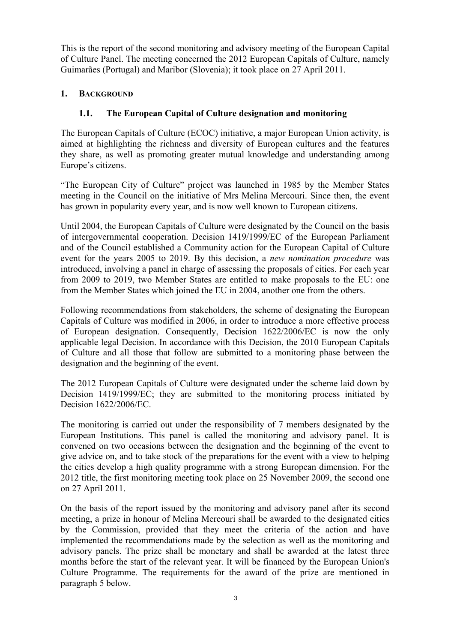This is the report of the second monitoring and advisory meeting of the European Capital of Culture Panel. The meeting concerned the 2012 European Capitals of Culture, namely Guimarães (Portugal) and Maribor (Slovenia); it took place on 27 April 2011.

## **1. BACKGROUND**

## **1.1. The European Capital of Culture designation and monitoring**

The European Capitals of Culture (ECOC) initiative, a major European Union activity, is aimed at highlighting the richness and diversity of European cultures and the features they share, as well as promoting greater mutual knowledge and understanding among Europe's citizens.

"The European City of Culture" project was launched in 1985 by the Member States meeting in the Council on the initiative of Mrs Melina Mercouri. Since then, the event has grown in popularity every year, and is now well known to European citizens.

Until 2004, the European Capitals of Culture were designated by the Council on the basis of intergovernmental cooperation. Decision 1419/1999/EC of the European Parliament and of the Council established a Community action for the European Capital of Culture event for the years 2005 to 2019. By this decision, a *new nomination procedure* was introduced, involving a panel in charge of assessing the proposals of cities. For each year from 2009 to 2019, two Member States are entitled to make proposals to the EU: one from the Member States which joined the EU in 2004, another one from the others.

Following recommendations from stakeholders, the scheme of designating the European Capitals of Culture was modified in 2006, in order to introduce a more effective process of European designation. Consequently, Decision 1622/2006/EC is now the only applicable legal Decision. In accordance with this Decision, the 2010 European Capitals of Culture and all those that follow are submitted to a monitoring phase between the designation and the beginning of the event.

The 2012 European Capitals of Culture were designated under the scheme laid down by Decision 1419/1999/EC; they are submitted to the monitoring process initiated by Decision 1622/2006/EC.

The monitoring is carried out under the responsibility of 7 members designated by the European Institutions. This panel is called the monitoring and advisory panel. It is convened on two occasions between the designation and the beginning of the event to give advice on, and to take stock of the preparations for the event with a view to helping the cities develop a high quality programme with a strong European dimension. For the 2012 title, the first monitoring meeting took place on 25 November 2009, the second one on 27 April 2011.

On the basis of the report issued by the monitoring and advisory panel after its second meeting, a prize in honour of Melina Mercouri shall be awarded to the designated cities by the Commission, provided that they meet the criteria of the action and have implemented the recommendations made by the selection as well as the monitoring and advisory panels. The prize shall be monetary and shall be awarded at the latest three months before the start of the relevant year. It will be financed by the European Union's Culture Programme. The requirements for the award of the prize are mentioned in paragraph 5 below.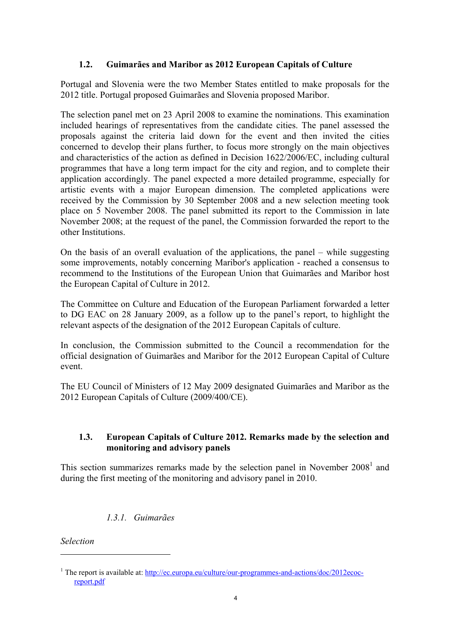## **1.2. Guimarães and Maribor as 2012 European Capitals of Culture**

Portugal and Slovenia were the two Member States entitled to make proposals for the 2012 title. Portugal proposed Guimarães and Slovenia proposed Maribor.

The selection panel met on 23 April 2008 to examine the nominations. This examination included hearings of representatives from the candidate cities. The panel assessed the proposals against the criteria laid down for the event and then invited the cities concerned to develop their plans further, to focus more strongly on the main objectives and characteristics of the action as defined in Decision 1622/2006/EC, including cultural programmes that have a long term impact for the city and region, and to complete their application accordingly. The panel expected a more detailed programme, especially for artistic events with a major European dimension. The completed applications were received by the Commission by 30 September 2008 and a new selection meeting took place on 5 November 2008. The panel submitted its report to the Commission in late November 2008; at the request of the panel, the Commission forwarded the report to the other Institutions.

On the basis of an overall evaluation of the applications, the panel – while suggesting some improvements, notably concerning Maribor's application - reached a consensus to recommend to the Institutions of the European Union that Guimarães and Maribor host the European Capital of Culture in 2012.

The Committee on Culture and Education of the European Parliament forwarded a letter to DG EAC on 28 January 2009, as a follow up to the panel's report, to highlight the relevant aspects of the designation of the 2012 European Capitals of culture.

In conclusion, the Commission submitted to the Council a recommendation for the official designation of Guimarães and Maribor for the 2012 European Capital of Culture event.

The EU Council of Ministers of 12 May 2009 designated Guimarães and Maribor as the 2012 European Capitals of Culture (2009/400/CE).

#### **1.3. European Capitals of Culture 2012. Remarks made by the selection and monitoring and advisory panels**

This section summarizes remarks made by the selection panel in November  $2008<sup>1</sup>$  and during the first meeting of the monitoring and advisory panel in 2010.

# *1.3.1. Guimarães*

*Selection* 

 $\overline{a}$ 

<sup>&</sup>lt;sup>1</sup> The report is available at:  $\frac{http://ec.europa.eu/culture/our-programmes-and-actions/doc/2012ecoc$ report.pdf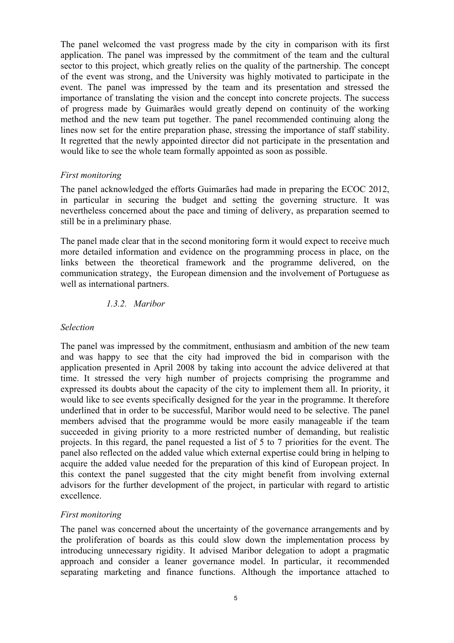The panel welcomed the vast progress made by the city in comparison with its first application. The panel was impressed by the commitment of the team and the cultural sector to this project, which greatly relies on the quality of the partnership. The concept of the event was strong, and the University was highly motivated to participate in the event. The panel was impressed by the team and its presentation and stressed the importance of translating the vision and the concept into concrete projects. The success of progress made by Guimarães would greatly depend on continuity of the working method and the new team put together. The panel recommended continuing along the lines now set for the entire preparation phase, stressing the importance of staff stability. It regretted that the newly appointed director did not participate in the presentation and would like to see the whole team formally appointed as soon as possible.

#### *First monitoring*

The panel acknowledged the efforts Guimarães had made in preparing the ECOC 2012, in particular in securing the budget and setting the governing structure. It was nevertheless concerned about the pace and timing of delivery, as preparation seemed to still be in a preliminary phase.

The panel made clear that in the second monitoring form it would expect to receive much more detailed information and evidence on the programming process in place, on the links between the theoretical framework and the programme delivered, on the communication strategy, the European dimension and the involvement of Portuguese as well as international partners.

#### *1.3.2. Maribor*

#### *Selection*

The panel was impressed by the commitment, enthusiasm and ambition of the new team and was happy to see that the city had improved the bid in comparison with the application presented in April 2008 by taking into account the advice delivered at that time. It stressed the very high number of projects comprising the programme and expressed its doubts about the capacity of the city to implement them all. In priority, it would like to see events specifically designed for the year in the programme. It therefore underlined that in order to be successful, Maribor would need to be selective. The panel members advised that the programme would be more easily manageable if the team succeeded in giving priority to a more restricted number of demanding, but realistic projects. In this regard, the panel requested a list of 5 to 7 priorities for the event. The panel also reflected on the added value which external expertise could bring in helping to acquire the added value needed for the preparation of this kind of European project. In this context the panel suggested that the city might benefit from involving external advisors for the further development of the project, in particular with regard to artistic excellence.

#### *First monitoring*

The panel was concerned about the uncertainty of the governance arrangements and by the proliferation of boards as this could slow down the implementation process by introducing unnecessary rigidity. It advised Maribor delegation to adopt a pragmatic approach and consider a leaner governance model. In particular, it recommended separating marketing and finance functions. Although the importance attached to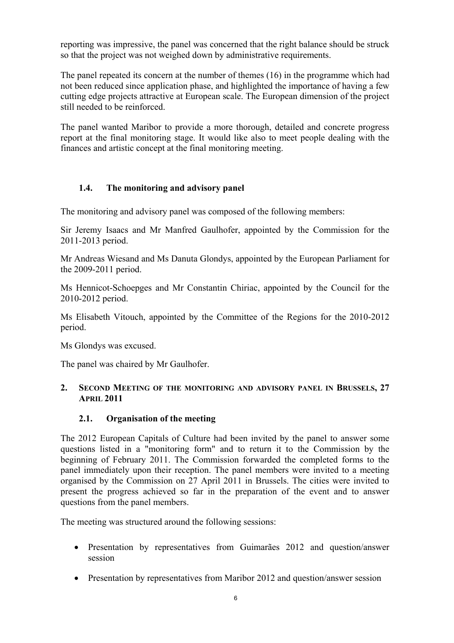reporting was impressive, the panel was concerned that the right balance should be struck so that the project was not weighed down by administrative requirements.

The panel repeated its concern at the number of themes (16) in the programme which had not been reduced since application phase, and highlighted the importance of having a few cutting edge projects attractive at European scale. The European dimension of the project still needed to be reinforced.

The panel wanted Maribor to provide a more thorough, detailed and concrete progress report at the final monitoring stage. It would like also to meet people dealing with the finances and artistic concept at the final monitoring meeting.

#### **1.4. The monitoring and advisory panel**

The monitoring and advisory panel was composed of the following members:

Sir Jeremy Isaacs and Mr Manfred Gaulhofer, appointed by the Commission for the 2011-2013 period.

Mr Andreas Wiesand and Ms Danuta Glondys, appointed by the European Parliament for the 2009-2011 period.

Ms Hennicot-Schoepges and Mr Constantin Chiriac, appointed by the Council for the 2010-2012 period.

Ms Elisabeth Vitouch, appointed by the Committee of the Regions for the 2010-2012 period.

Ms Glondys was excused.

The panel was chaired by Mr Gaulhofer.

#### **2. SECOND MEETING OF THE MONITORING AND ADVISORY PANEL IN BRUSSELS, 27 APRIL 2011**

# **2.1. Organisation of the meeting**

The 2012 European Capitals of Culture had been invited by the panel to answer some questions listed in a "monitoring form" and to return it to the Commission by the beginning of February 2011. The Commission forwarded the completed forms to the panel immediately upon their reception. The panel members were invited to a meeting organised by the Commission on 27 April 2011 in Brussels. The cities were invited to present the progress achieved so far in the preparation of the event and to answer questions from the panel members.

The meeting was structured around the following sessions:

- Presentation by representatives from Guimarães 2012 and question/answer session
- Presentation by representatives from Maribor 2012 and question/answer session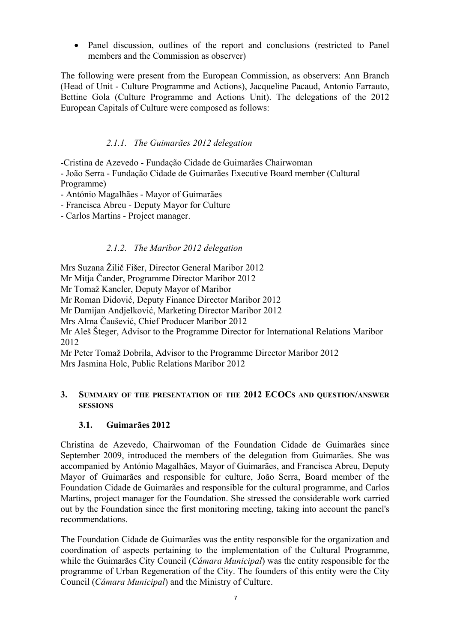• Panel discussion, outlines of the report and conclusions (restricted to Panel members and the Commission as observer)

The following were present from the European Commission, as observers: Ann Branch (Head of Unit - Culture Programme and Actions), Jacqueline Pacaud, Antonio Farrauto, Bettine Gola (Culture Programme and Actions Unit). The delegations of the 2012 European Capitals of Culture were composed as follows:

#### *2.1.1. The Guimarães 2012 delegation*

-Cristina de Azevedo - Fundação Cidade de Guimarães Chairwoman - João Serra - Fundação Cidade de Guimarães Executive Board member (Cultural Programme)

- António Magalhães Mayor of Guimarães
- Francisca Abreu Deputy Mayor for Culture
- Carlos Martins Project manager.

#### *2.1.2. The Maribor 2012 delegation*

Mrs Suzana Žilič Fišer, Director General Maribor 2012

Mr Mitja Čander, Programme Director Maribor 2012

Mr Tomaž Kancler, Deputy Mayor of Maribor

Mr Roman Didović, Deputy Finance Director Maribor 2012

Mr Damijan Andjelković, Marketing Director Maribor 2012

Mrs Alma Čaušević, Chief Producer Maribor 2012

Mr Aleš Šteger, Advisor to the Programme Director for International Relations Maribor 2012

Mr Peter Tomaž Dobrila, Advisor to the Programme Director Maribor 2012 Mrs Jasmina Holc, Public Relations Maribor 2012

#### **3. SUMMARY OF THE PRESENTATION OF THE 2012 ECOCS AND QUESTION/ANSWER SESSIONS**

#### **3.1. Guimarães 2012**

Christina de Azevedo, Chairwoman of the Foundation Cidade de Guimarães since September 2009, introduced the members of the delegation from Guimarães. She was accompanied by António Magalhães, Mayor of Guimarães, and Francisca Abreu, Deputy Mayor of Guimarães and responsible for culture, João Serra, Board member of the Foundation Cidade de Guimarães and responsible for the cultural programme, and Carlos Martins, project manager for the Foundation. She stressed the considerable work carried out by the Foundation since the first monitoring meeting, taking into account the panel's recommendations.

The Foundation Cidade de Guimarães was the entity responsible for the organization and coordination of aspects pertaining to the implementation of the Cultural Programme, while the Guimarães City Council (*Câmara Municipal*) was the entity responsible for the programme of Urban Regeneration of the City. The founders of this entity were the City Council (*Câmara Municipal*) and the Ministry of Culture.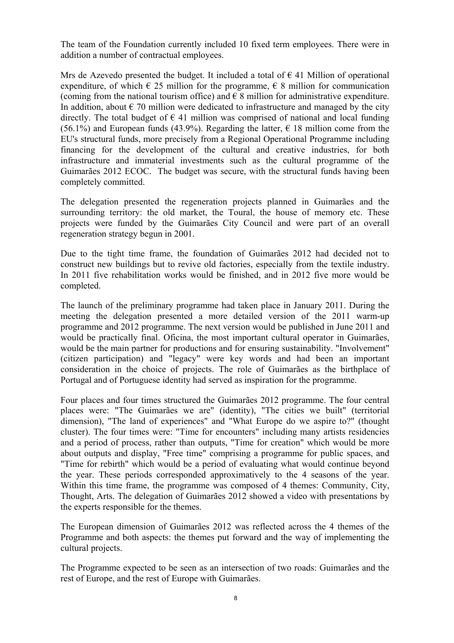The team of the Foundation currently included 10 fixed term employees. There were in addition a number of contractual employees.

Mrs de Azevedo presented the budget. It included a total of  $\epsilon$  41 Million of operational expenditure, of which  $\epsilon$  25 million for the programme,  $\epsilon$  8 million for communication (coming from the national tourism office) and  $\epsilon$  8 million for administrative expenditure. In addition, about  $\epsilon$  70 million were dedicated to infrastructure and managed by the city directly. The total budget of  $\epsilon$  41 million was comprised of national and local funding (56.1%) and European funds (43.9%). Regarding the latter,  $\epsilon$  18 million come from the EU's structural funds, more precisely from a Regional Operational Programme including financing for the development of the cultural and creative industries, for both infrastructure and immaterial investments such as the cultural programme of the Guimarães 2012 ECOC. The budget was secure, with the structural funds having been completely committed.

The delegation presented the regeneration projects planned in Guimarães and the surrounding territory: the old market, the Toural, the house of memory etc. These projects were funded by the Guimarães City Council and were part of an overall regeneration strategy begun in 2001.

Due to the tight time frame, the foundation of Guimarães 2012 had decided not to construct new buildings but to revive old factories, especially from the textile industry. In 2011 five rehabilitation works would be finished, and in 2012 five more would be completed.

The launch of the preliminary programme had taken place in January 2011. During the meeting the delegation presented a more detailed version of the 2011 warm-up programme and 2012 programme. The next version would be published in June 2011 and would be practically final. Oficina, the most important cultural operator in Guimarães, would be the main partner for productions and for ensuring sustainability. "Involvement" (citizen participation) and "legacy" were key words and had been an important consideration in the choice of projects. The role of Guimarães as the birthplace of Portugal and of Portuguese identity had served as inspiration for the programme.

Four places and four times structured the Guimarães 2012 programme. The four central places were: "The Guimarães we are" (identity), "The cities we built" (territorial dimension), "The land of experiences" and "What Europe do we aspire to?" (thought cluster). The four times were: "Time for encounters" including many artists residencies and a period of process, rather than outputs, "Time for creation" which would be more about outputs and display, "Free time" comprising a programme for public spaces, and "Time for rebirth" which would be a period of evaluating what would continue beyond the year. These periods corresponded approximatively to the 4 seasons of the year. Within this time frame, the programme was composed of 4 themes: Community, City, Thought, Arts. The delegation of Guimarães 2012 showed a video with presentations by the experts responsible for the themes.

The European dimension of Guimarães 2012 was reflected across the 4 themes of the Programme and both aspects: the themes put forward and the way of implementing the cultural projects.

The Programme expected to be seen as an intersection of two roads: Guimarães and the rest of Europe, and the rest of Europe with Guimarães.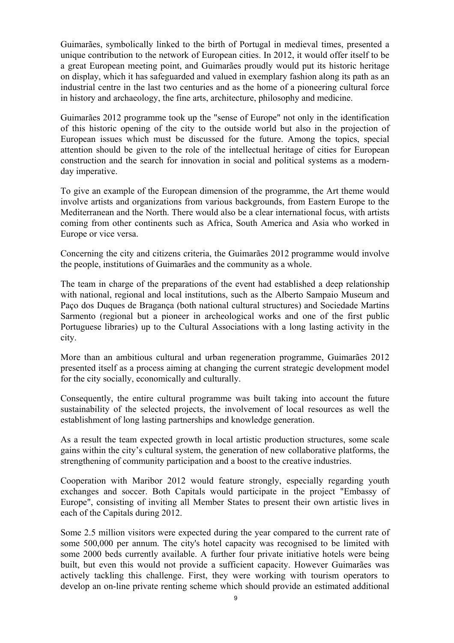Guimarães, symbolically linked to the birth of Portugal in medieval times, presented a unique contribution to the network of European cities. In 2012, it would offer itself to be a great European meeting point, and Guimarães proudly would put its historic heritage on display, which it has safeguarded and valued in exemplary fashion along its path as an industrial centre in the last two centuries and as the home of a pioneering cultural force in history and archaeology, the fine arts, architecture, philosophy and medicine.

Guimarães 2012 programme took up the "sense of Europe" not only in the identification of this historic opening of the city to the outside world but also in the projection of European issues which must be discussed for the future. Among the topics, special attention should be given to the role of the intellectual heritage of cities for European construction and the search for innovation in social and political systems as a modernday imperative.

To give an example of the European dimension of the programme, the Art theme would involve artists and organizations from various backgrounds, from Eastern Europe to the Mediterranean and the North. There would also be a clear international focus, with artists coming from other continents such as Africa, South America and Asia who worked in Europe or vice versa.

Concerning the city and citizens criteria, the Guimarães 2012 programme would involve the people, institutions of Guimarães and the community as a whole.

The team in charge of the preparations of the event had established a deep relationship with national, regional and local institutions, such as the Alberto Sampaio Museum and Paço dos Duques de Bragança (both national cultural structures) and Sociedade Martins Sarmento (regional but a pioneer in archeological works and one of the first public Portuguese libraries) up to the Cultural Associations with a long lasting activity in the city.

More than an ambitious cultural and urban regeneration programme, Guimarães 2012 presented itself as a process aiming at changing the current strategic development model for the city socially, economically and culturally.

Consequently, the entire cultural programme was built taking into account the future sustainability of the selected projects, the involvement of local resources as well the establishment of long lasting partnerships and knowledge generation.

As a result the team expected growth in local artistic production structures, some scale gains within the city's cultural system, the generation of new collaborative platforms, the strengthening of community participation and a boost to the creative industries.

Cooperation with Maribor 2012 would feature strongly, especially regarding youth exchanges and soccer. Both Capitals would participate in the project "Embassy of Europe", consisting of inviting all Member States to present their own artistic lives in each of the Capitals during 2012.

Some 2.5 million visitors were expected during the year compared to the current rate of some 500,000 per annum. The city's hotel capacity was recognised to be limited with some 2000 beds currently available. A further four private initiative hotels were being built, but even this would not provide a sufficient capacity. However Guimarães was actively tackling this challenge. First, they were working with tourism operators to develop an on-line private renting scheme which should provide an estimated additional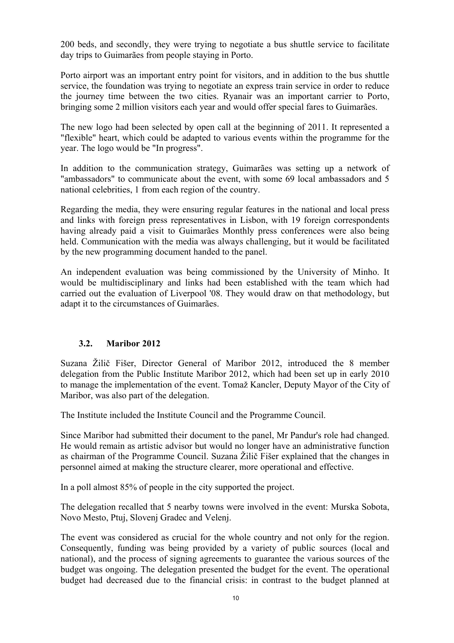200 beds, and secondly, they were trying to negotiate a bus shuttle service to facilitate day trips to Guimarães from people staying in Porto.

Porto airport was an important entry point for visitors, and in addition to the bus shuttle service, the foundation was trying to negotiate an express train service in order to reduce the journey time between the two cities. Ryanair was an important carrier to Porto, bringing some 2 million visitors each year and would offer special fares to Guimarães.

The new logo had been selected by open call at the beginning of 2011. It represented a "flexible" heart, which could be adapted to various events within the programme for the year. The logo would be "In progress".

In addition to the communication strategy, Guimarães was setting up a network of "ambassadors" to communicate about the event, with some 69 local ambassadors and 5 national celebrities, 1 from each region of the country.

Regarding the media, they were ensuring regular features in the national and local press and links with foreign press representatives in Lisbon, with 19 foreign correspondents having already paid a visit to Guimarães Monthly press conferences were also being held. Communication with the media was always challenging, but it would be facilitated by the new programming document handed to the panel.

An independent evaluation was being commissioned by the University of Minho. It would be multidisciplinary and links had been established with the team which had carried out the evaluation of Liverpool '08. They would draw on that methodology, but adapt it to the circumstances of Guimarães.

#### **3.2. Maribor 2012**

Suzana Žilič Fišer, Director General of Maribor 2012, introduced the 8 member delegation from the Public Institute Maribor 2012, which had been set up in early 2010 to manage the implementation of the event. Tomaž Kancler, Deputy Mayor of the City of Maribor, was also part of the delegation.

The Institute included the Institute Council and the Programme Council.

Since Maribor had submitted their document to the panel, Mr Pandur's role had changed. He would remain as artistic advisor but would no longer have an administrative function as chairman of the Programme Council. Suzana Žilič Fišer explained that the changes in personnel aimed at making the structure clearer, more operational and effective.

In a poll almost 85% of people in the city supported the project.

The delegation recalled that 5 nearby towns were involved in the event: Murska Sobota, Novo Mesto, Ptuj, Slovenj Gradec and Velenj.

The event was considered as crucial for the whole country and not only for the region. Consequently, funding was being provided by a variety of public sources (local and national), and the process of signing agreements to guarantee the various sources of the budget was ongoing. The delegation presented the budget for the event. The operational budget had decreased due to the financial crisis: in contrast to the budget planned at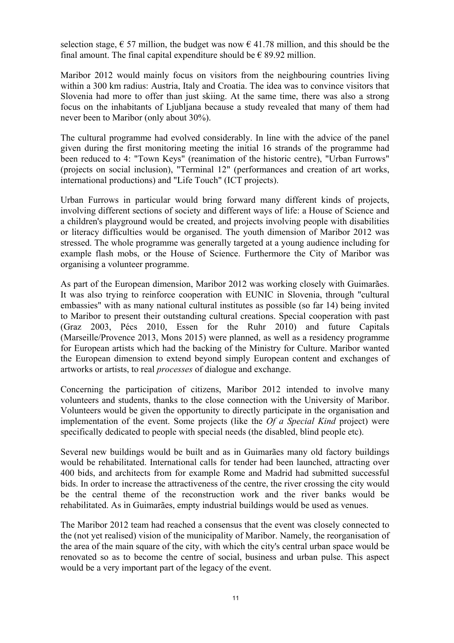selection stage,  $\epsilon$  57 million, the budget was now  $\epsilon$  41.78 million, and this should be the final amount. The final capital expenditure should be  $\epsilon$  89.92 million.

Maribor 2012 would mainly focus on visitors from the neighbouring countries living within a 300 km radius: Austria, Italy and Croatia. The idea was to convince visitors that Slovenia had more to offer than just skiing. At the same time, there was also a strong focus on the inhabitants of Ljubljana because a study revealed that many of them had never been to Maribor (only about 30%).

The cultural programme had evolved considerably. In line with the advice of the panel given during the first monitoring meeting the initial 16 strands of the programme had been reduced to 4: "Town Keys" (reanimation of the historic centre), "Urban Furrows" (projects on social inclusion), "Terminal 12" (performances and creation of art works, international productions) and "Life Touch" (ICT projects).

Urban Furrows in particular would bring forward many different kinds of projects, involving different sections of society and different ways of life: a House of Science and a children's playground would be created, and projects involving people with disabilities or literacy difficulties would be organised. The youth dimension of Maribor 2012 was stressed. The whole programme was generally targeted at a young audience including for example flash mobs, or the House of Science. Furthermore the City of Maribor was organising a volunteer programme.

As part of the European dimension, Maribor 2012 was working closely with Guimarães. It was also trying to reinforce cooperation with EUNIC in Slovenia, through "cultural embassies" with as many national cultural institutes as possible (so far 14) being invited to Maribor to present their outstanding cultural creations. Special cooperation with past (Graz 2003, Pécs 2010, Essen for the Ruhr 2010) and future Capitals (Marseille/Provence 2013, Mons 2015) were planned, as well as a residency programme for European artists which had the backing of the Ministry for Culture. Maribor wanted the European dimension to extend beyond simply European content and exchanges of artworks or artists, to real *processes* of dialogue and exchange.

Concerning the participation of citizens, Maribor 2012 intended to involve many volunteers and students, thanks to the close connection with the University of Maribor. Volunteers would be given the opportunity to directly participate in the organisation and implementation of the event. Some projects (like the *Of a Special Kind* project) were specifically dedicated to people with special needs (the disabled, blind people etc).

Several new buildings would be built and as in Guimarães many old factory buildings would be rehabilitated. International calls for tender had been launched, attracting over 400 bids, and architects from for example Rome and Madrid had submitted successful bids. In order to increase the attractiveness of the centre, the river crossing the city would be the central theme of the reconstruction work and the river banks would be rehabilitated. As in Guimarães, empty industrial buildings would be used as venues.

The Maribor 2012 team had reached a consensus that the event was closely connected to the (not yet realised) vision of the municipality of Maribor. Namely, the reorganisation of the area of the main square of the city, with which the city's central urban space would be renovated so as to become the centre of social, business and urban pulse. This aspect would be a very important part of the legacy of the event.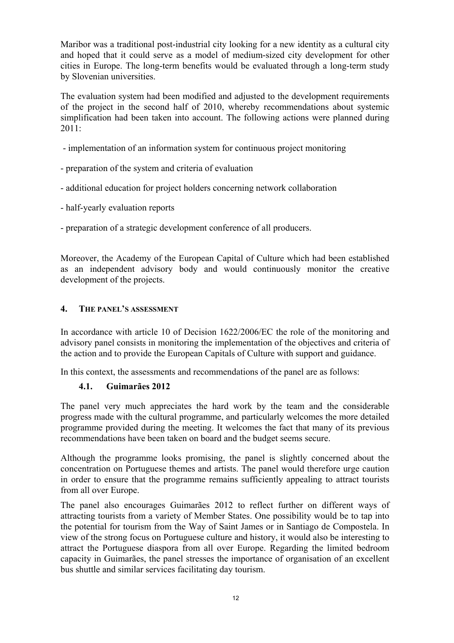Maribor was a traditional post-industrial city looking for a new identity as a cultural city and hoped that it could serve as a model of medium-sized city development for other cities in Europe. The long-term benefits would be evaluated through a long-term study by Slovenian universities.

The evaluation system had been modified and adjusted to the development requirements of the project in the second half of 2010, whereby recommendations about systemic simplification had been taken into account. The following actions were planned during 2011:

- implementation of an information system for continuous project monitoring

- preparation of the system and criteria of evaluation
- additional education for project holders concerning network collaboration
- half-yearly evaluation reports
- preparation of a strategic development conference of all producers.

Moreover, the Academy of the European Capital of Culture which had been established as an independent advisory body and would continuously monitor the creative development of the projects.

#### **4. THE PANEL'S ASSESSMENT**

In accordance with article 10 of Decision 1622/2006/EC the role of the monitoring and advisory panel consists in monitoring the implementation of the objectives and criteria of the action and to provide the European Capitals of Culture with support and guidance.

In this context, the assessments and recommendations of the panel are as follows:

#### **4.1. Guimarães 2012**

The panel very much appreciates the hard work by the team and the considerable progress made with the cultural programme, and particularly welcomes the more detailed programme provided during the meeting. It welcomes the fact that many of its previous recommendations have been taken on board and the budget seems secure.

Although the programme looks promising, the panel is slightly concerned about the concentration on Portuguese themes and artists. The panel would therefore urge caution in order to ensure that the programme remains sufficiently appealing to attract tourists from all over Europe.

The panel also encourages Guimarães 2012 to reflect further on different ways of attracting tourists from a variety of Member States. One possibility would be to tap into the potential for tourism from the Way of Saint James or in Santiago de Compostela. In view of the strong focus on Portuguese culture and history, it would also be interesting to attract the Portuguese diaspora from all over Europe. Regarding the limited bedroom capacity in Guimarães, the panel stresses the importance of organisation of an excellent bus shuttle and similar services facilitating day tourism.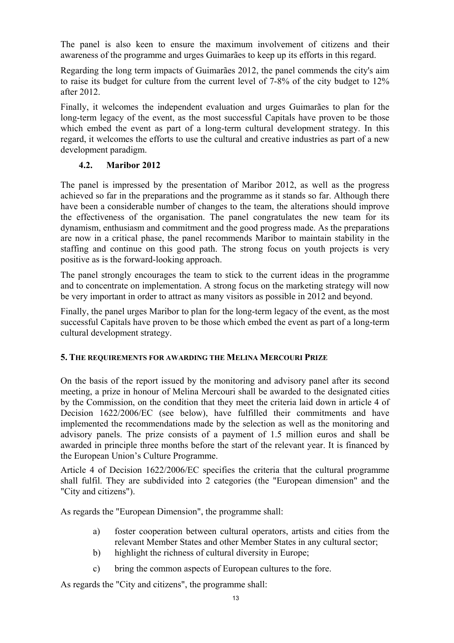The panel is also keen to ensure the maximum involvement of citizens and their awareness of the programme and urges Guimarães to keep up its efforts in this regard.

Regarding the long term impacts of Guimarães 2012, the panel commends the city's aim to raise its budget for culture from the current level of 7-8% of the city budget to 12% after 2012.

Finally, it welcomes the independent evaluation and urges Guimarães to plan for the long-term legacy of the event, as the most successful Capitals have proven to be those which embed the event as part of a long-term cultural development strategy. In this regard, it welcomes the efforts to use the cultural and creative industries as part of a new development paradigm.

#### **4.2. Maribor 2012**

The panel is impressed by the presentation of Maribor 2012, as well as the progress achieved so far in the preparations and the programme as it stands so far. Although there have been a considerable number of changes to the team, the alterations should improve the effectiveness of the organisation. The panel congratulates the new team for its dynamism, enthusiasm and commitment and the good progress made. As the preparations are now in a critical phase, the panel recommends Maribor to maintain stability in the staffing and continue on this good path. The strong focus on youth projects is very positive as is the forward-looking approach.

The panel strongly encourages the team to stick to the current ideas in the programme and to concentrate on implementation. A strong focus on the marketing strategy will now be very important in order to attract as many visitors as possible in 2012 and beyond.

Finally, the panel urges Maribor to plan for the long-term legacy of the event, as the most successful Capitals have proven to be those which embed the event as part of a long-term cultural development strategy.

#### **5. THE REQUIREMENTS FOR AWARDING THE MELINA MERCOURI PRIZE**

On the basis of the report issued by the monitoring and advisory panel after its second meeting, a prize in honour of Melina Mercouri shall be awarded to the designated cities by the Commission, on the condition that they meet the criteria laid down in article 4 of Decision 1622/2006/EC (see below), have fulfilled their commitments and have implemented the recommendations made by the selection as well as the monitoring and advisory panels. The prize consists of a payment of 1.5 million euros and shall be awarded in principle three months before the start of the relevant year. It is financed by the European Union's Culture Programme.

Article 4 of Decision 1622/2006/EC specifies the criteria that the cultural programme shall fulfil. They are subdivided into 2 categories (the "European dimension" and the "City and citizens").

As regards the "European Dimension", the programme shall:

- a) foster cooperation between cultural operators, artists and cities from the relevant Member States and other Member States in any cultural sector;
- b) highlight the richness of cultural diversity in Europe;
- c) bring the common aspects of European cultures to the fore.

As regards the "City and citizens", the programme shall: